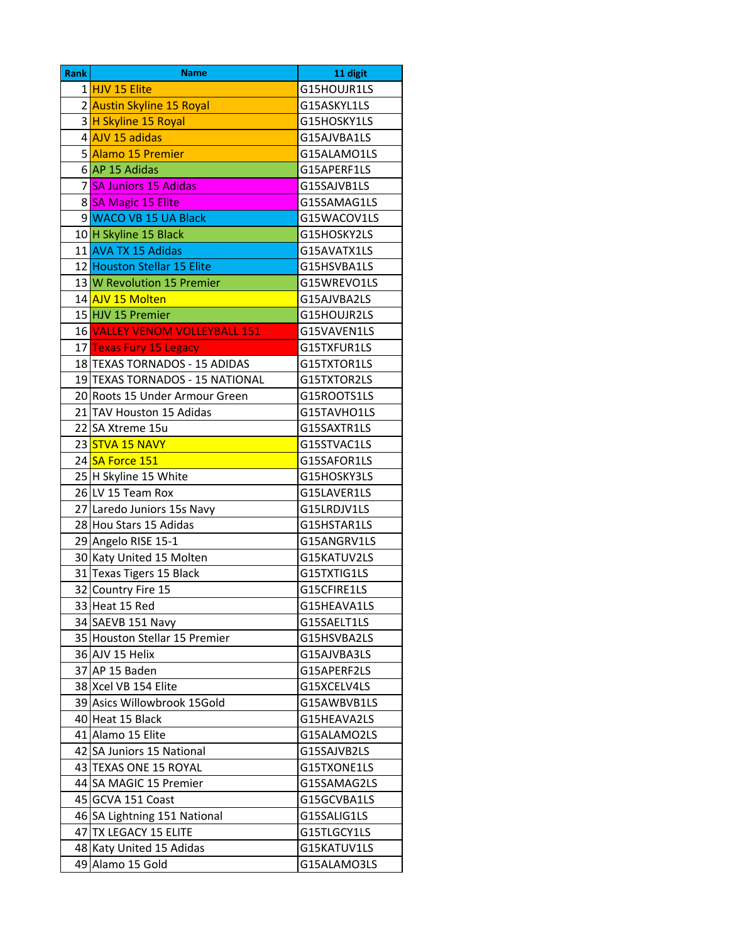| <b>Rank</b> | <b>Name</b>                     | 11 digit    |
|-------------|---------------------------------|-------------|
|             | 1 HJV 15 Elite                  | G15HOUJR1LS |
|             | 2 Austin Skyline 15 Royal       | G15ASKYL1LS |
|             | 3 H Skyline 15 Royal            | G15HOSKY1LS |
|             | 4 AJV 15 adidas                 | G15AJVBA1LS |
|             | 5 Alamo 15 Premier              | G15ALAMO1LS |
|             | $6$ AP 15 Adidas                | G15APERF1LS |
|             | 7 SA Juniors 15 Adidas          | G15SAJVB1LS |
|             | 8 SA Magic 15 Elite             | G15SAMAG1LS |
|             | 9 WACO VB 15 UA Black           | G15WACOV1LS |
|             | 10 H Skyline 15 Black           | G15HOSKY2LS |
|             | 11 AVA TX 15 Adidas             | G15AVATX1LS |
|             | 12 Houston Stellar 15 Elite     | G15HSVBA1LS |
|             | 13 W Revolution 15 Premier      | G15WREVO1LS |
|             | 14 AJV 15 Molten                | G15AJVBA2LS |
|             | 15 HJV 15 Premier               | G15HOUJR2LS |
|             | 16 VALLEY VENOM VOLLEYBALL 151  | G15VAVEN1LS |
|             | 17 Texas Fury 15 Legacy         | G15TXFUR1LS |
|             | 18 TEXAS TORNADOS - 15 ADIDAS   | G15TXTOR1LS |
|             | 19 TEXAS TORNADOS - 15 NATIONAL | G15TXTOR2LS |
|             | 20 Roots 15 Under Armour Green  | G15ROOTS1LS |
|             | 21 TAV Houston 15 Adidas        | G15TAVHO1LS |
|             | 22 SA Xtreme 15u                | G15SAXTR1LS |
|             | 23 <mark>STVA 15 NAVY</mark>    | G15STVAC1LS |
|             | 24 SA Force 151                 | G15SAFOR1LS |
|             | 25 H Skyline 15 White           | G15HOSKY3LS |
|             | 26 LV 15 Team Rox               | G15LAVER1LS |
|             | 27 Laredo Juniors 15s Navy      | G15LRDJV1LS |
|             | 28 Hou Stars 15 Adidas          | G15HSTAR1LS |
|             | 29 Angelo RISE 15-1             | G15ANGRV1LS |
|             | 30 Katy United 15 Molten        | G15KATUV2LS |
|             | 31 Texas Tigers 15 Black        | G15TXTIG1LS |
|             | 32 Country Fire 15              | G15CFIRE1LS |
|             | 33 Heat 15 Red                  | G15HEAVA1LS |
|             | 34 SAEVB 151 Navy               | G15SAELT1LS |
|             | 35 Houston Stellar 15 Premier   | G15HSVBA2LS |
|             | 36 AJV 15 Helix                 | G15AJVBA3LS |
|             | 37 AP 15 Baden                  | G15APERF2LS |
|             | 38 Xcel VB 154 Elite            | G15XCELV4LS |
|             | 39 Asics Willowbrook 15Gold     | G15AWBVB1LS |
|             | 40 Heat 15 Black                | G15HEAVA2LS |
|             | 41 Alamo 15 Elite               | G15ALAMO2LS |
|             | 42 SA Juniors 15 National       | G15SAJVB2LS |
|             | 43 TEXAS ONE 15 ROYAL           | G15TXONE1LS |
|             | 44 SA MAGIC 15 Premier          | G15SAMAG2LS |
|             | 45 GCVA 151 Coast               | G15GCVBA1LS |
|             | 46 SA Lightning 151 National    | G15SALIG1LS |
|             | 47 TX LEGACY 15 ELITE           | G15TLGCY1LS |
|             | 48 Katy United 15 Adidas        | G15KATUV1LS |
|             | 49 Alamo 15 Gold                | G15ALAMO3LS |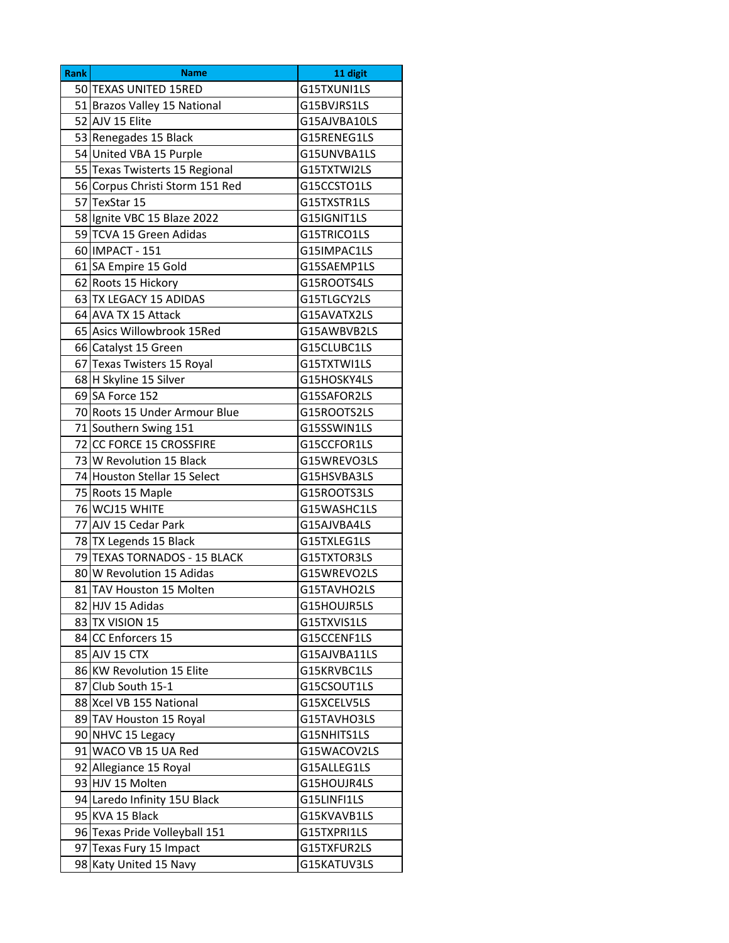| 50 TEXAS UNITED 15RED<br>G15TXUNI1LS<br>51 Brazos Valley 15 National<br>G15BVJRS1LS<br>52 AJV 15 Elite<br>G15AJVBA10LS<br>53 Renegades 15 Black<br>G15RENEG1LS<br>54 United VBA 15 Purple<br>G15UNVBA1LS<br>55 Texas Twisterts 15 Regional<br>G15TXTWI2LS |  |
|-----------------------------------------------------------------------------------------------------------------------------------------------------------------------------------------------------------------------------------------------------------|--|
|                                                                                                                                                                                                                                                           |  |
|                                                                                                                                                                                                                                                           |  |
|                                                                                                                                                                                                                                                           |  |
|                                                                                                                                                                                                                                                           |  |
|                                                                                                                                                                                                                                                           |  |
|                                                                                                                                                                                                                                                           |  |
| 56 Corpus Christi Storm 151 Red<br>G15CCSTO1LS                                                                                                                                                                                                            |  |
| 57 TexStar 15<br>G15TXSTR1LS                                                                                                                                                                                                                              |  |
| 58 Ignite VBC 15 Blaze 2022<br>G15IGNIT1LS                                                                                                                                                                                                                |  |
| 59 TCVA 15 Green Adidas<br>G15TRICO1LS                                                                                                                                                                                                                    |  |
| 60 IMPACT - 151<br>G15IMPAC1LS                                                                                                                                                                                                                            |  |
| 61 SA Empire 15 Gold<br>G15SAEMP1LS                                                                                                                                                                                                                       |  |
| 62 Roots 15 Hickory<br>G15ROOTS4LS                                                                                                                                                                                                                        |  |
| 63 TX LEGACY 15 ADIDAS<br>G15TLGCY2LS                                                                                                                                                                                                                     |  |
| 64 AVA TX 15 Attack<br>G15AVATX2LS                                                                                                                                                                                                                        |  |
| 65 Asics Willowbrook 15Red<br>G15AWBVB2LS                                                                                                                                                                                                                 |  |
| 66 Catalyst 15 Green<br>G15CLUBC1LS                                                                                                                                                                                                                       |  |
| 67 Texas Twisters 15 Royal<br>G15TXTWI1LS                                                                                                                                                                                                                 |  |
| 68 H Skyline 15 Silver<br>G15HOSKY4LS                                                                                                                                                                                                                     |  |
| 69 SA Force 152<br>G15SAFOR2LS                                                                                                                                                                                                                            |  |
| 70 Roots 15 Under Armour Blue<br>G15ROOTS2LS                                                                                                                                                                                                              |  |
| 71 Southern Swing 151<br>G15SSWIN1LS                                                                                                                                                                                                                      |  |
| 72 CC FORCE 15 CROSSFIRE<br>G15CCFOR1LS                                                                                                                                                                                                                   |  |
| 73 W Revolution 15 Black<br>G15WREVO3LS                                                                                                                                                                                                                   |  |
| 74 Houston Stellar 15 Select<br>G15HSVBA3LS                                                                                                                                                                                                               |  |
| 75 Roots 15 Maple<br>G15ROOTS3LS                                                                                                                                                                                                                          |  |
| 76 WCJ15 WHITE<br>G15WASHC1LS                                                                                                                                                                                                                             |  |
| 77 AJV 15 Cedar Park<br>G15AJVBA4LS                                                                                                                                                                                                                       |  |
| 78 TX Legends 15 Black<br>G15TXLEG1LS                                                                                                                                                                                                                     |  |
| 79 TEXAS TORNADOS - 15 BLACK<br>G15TXTOR3LS                                                                                                                                                                                                               |  |
| 80 W Revolution 15 Adidas<br>G15WREVO2LS                                                                                                                                                                                                                  |  |
| 81 TAV Houston 15 Molten<br>G15TAVHO2LS                                                                                                                                                                                                                   |  |
| 82 HJV 15 Adidas<br>G15HOUJR5LS                                                                                                                                                                                                                           |  |
| 83 TX VISION 15<br>G15TXVIS1LS                                                                                                                                                                                                                            |  |
| 84 CC Enforcers 15<br>G15CCENF1LS                                                                                                                                                                                                                         |  |
| 85 AJV 15 CTX<br>G15AJVBA11LS                                                                                                                                                                                                                             |  |
| 86 KW Revolution 15 Elite<br>G15KRVBC1LS                                                                                                                                                                                                                  |  |
| 87 Club South 15-1<br>G15CSOUT1LS                                                                                                                                                                                                                         |  |
| 88 Xcel VB 155 National<br>G15XCELV5LS                                                                                                                                                                                                                    |  |
| 89 TAV Houston 15 Royal<br>G15TAVHO3LS                                                                                                                                                                                                                    |  |
| 90 NHVC 15 Legacy<br>G15NHITS1LS                                                                                                                                                                                                                          |  |
| 91 WACO VB 15 UA Red<br>G15WACOV2LS                                                                                                                                                                                                                       |  |
| 92 Allegiance 15 Royal<br>G15ALLEG1LS                                                                                                                                                                                                                     |  |
| 93 HJV 15 Molten<br>G15HOUJR4LS                                                                                                                                                                                                                           |  |
| 94 Laredo Infinity 15U Black<br>G15LINFI1LS                                                                                                                                                                                                               |  |
| 95 KVA 15 Black<br>G15KVAVB1LS                                                                                                                                                                                                                            |  |
| 96 Texas Pride Volleyball 151<br>G15TXPRI1LS                                                                                                                                                                                                              |  |
| 97 Texas Fury 15 Impact<br>G15TXFUR2LS                                                                                                                                                                                                                    |  |
| 98 Katy United 15 Navy<br>G15KATUV3LS                                                                                                                                                                                                                     |  |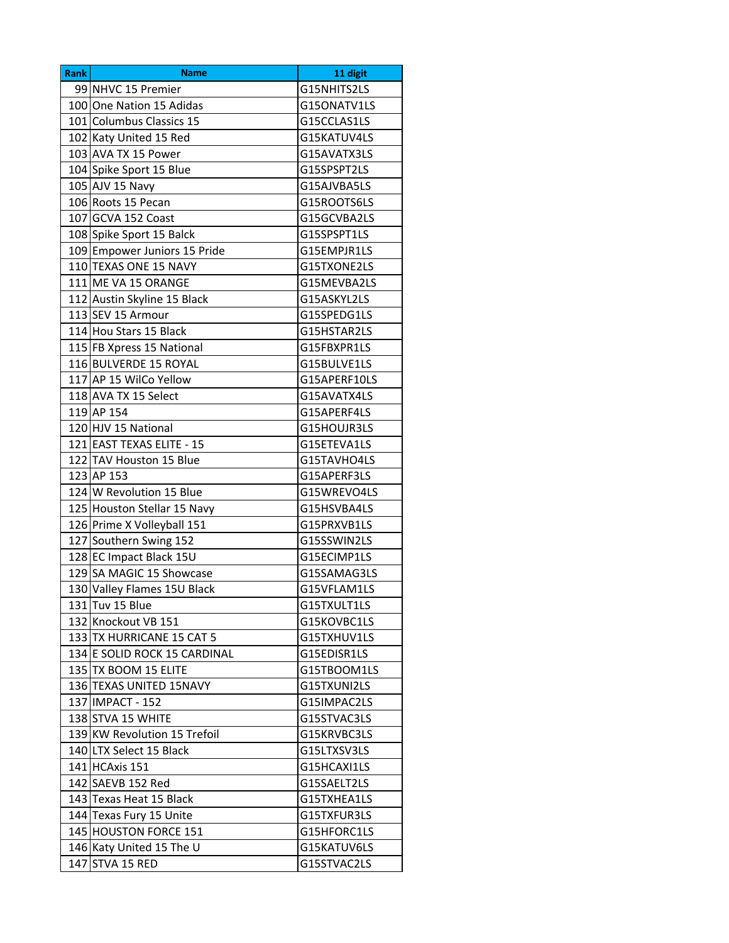| <b>Rank</b> | <b>Name</b>                  | 11 digit     |
|-------------|------------------------------|--------------|
|             | 99 NHVC 15 Premier           | G15NHITS2LS  |
|             | 100 One Nation 15 Adidas     | G15ONATV1LS  |
|             | 101 Columbus Classics 15     | G15CCLAS1LS  |
|             | 102 Katy United 15 Red       | G15KATUV4LS  |
|             | 103 AVA TX 15 Power          | G15AVATX3LS  |
|             | 104 Spike Sport 15 Blue      | G15SPSPT2LS  |
|             | 105 AJV 15 Navy              | G15AJVBA5LS  |
|             | 106 Roots 15 Pecan           | G15ROOTS6LS  |
|             | 107 GCVA 152 Coast           | G15GCVBA2LS  |
|             | 108 Spike Sport 15 Balck     | G15SPSPT1LS  |
|             | 109 Empower Juniors 15 Pride | G15EMPJR1LS  |
|             | 110 TEXAS ONE 15 NAVY        | G15TXONE2LS  |
|             | 111 ME VA 15 ORANGE          | G15MEVBA2LS  |
|             | 112 Austin Skyline 15 Black  | G15ASKYL2LS  |
|             | 113 SEV 15 Armour            | G15SPEDG1LS  |
|             | 114 Hou Stars 15 Black       | G15HSTAR2LS  |
|             | 115 FB Xpress 15 National    | G15FBXPR1LS  |
|             | 116 BULVERDE 15 ROYAL        | G15BULVE1LS  |
|             | 117 AP 15 WilCo Yellow       | G15APERF10LS |
|             | 118 AVA TX 15 Select         | G15AVATX4LS  |
|             | 119 AP 154                   | G15APERF4LS  |
|             | 120 HJV 15 National          | G15HOUJR3LS  |
|             | 121 EAST TEXAS ELITE - 15    | G15ETEVA1LS  |
|             | 122 TAV Houston 15 Blue      | G15TAVHO4LS  |
|             | 123 AP 153                   | G15APERF3LS  |
|             | 124 W Revolution 15 Blue     | G15WREVO4LS  |
|             | 125 Houston Stellar 15 Navy  | G15HSVBA4LS  |
|             | 126 Prime X Volleyball 151   | G15PRXVB1LS  |
|             | 127 Southern Swing 152       | G15SSWIN2LS  |
|             | 128 EC Impact Black 15U      | G15ECIMP1LS  |
|             | 129 SA MAGIC 15 Showcase     | G15SAMAG3LS  |
|             | 130 Valley Flames 15U Black  | G15VFLAM1LS  |
|             | 131 Tuv 15 Blue              | G15TXULT1LS  |
|             | 132 Knockout VB 151          | G15KOVBC1LS  |
|             | 133 TX HURRICANE 15 CAT 5    | G15TXHUV1LS  |
|             | 134 E SOLID ROCK 15 CARDINAL | G15EDISR1LS  |
|             | 135 TX BOOM 15 ELITE         | G15TBOOM1LS  |
|             | 136 TEXAS UNITED 15NAVY      | G15TXUNI2LS  |
|             | 137 IMPACT - 152             | G15IMPAC2LS  |
|             | 138 STVA 15 WHITE            | G15STVAC3LS  |
|             | 139 KW Revolution 15 Trefoil | G15KRVBC3LS  |
|             | 140 LTX Select 15 Black      | G15LTXSV3LS  |
|             | 141 HCAxis 151               | G15HCAXI1LS  |
|             | 142 SAEVB 152 Red            | G15SAELT2LS  |
|             | 143 Texas Heat 15 Black      | G15TXHEA1LS  |
|             | 144 Texas Fury 15 Unite      | G15TXFUR3LS  |
|             | 145 HOUSTON FORCE 151        | G15HFORC1LS  |
|             | 146 Katy United 15 The U     | G15KATUV6LS  |
| 147         | STVA 15 RED                  | G15STVAC2LS  |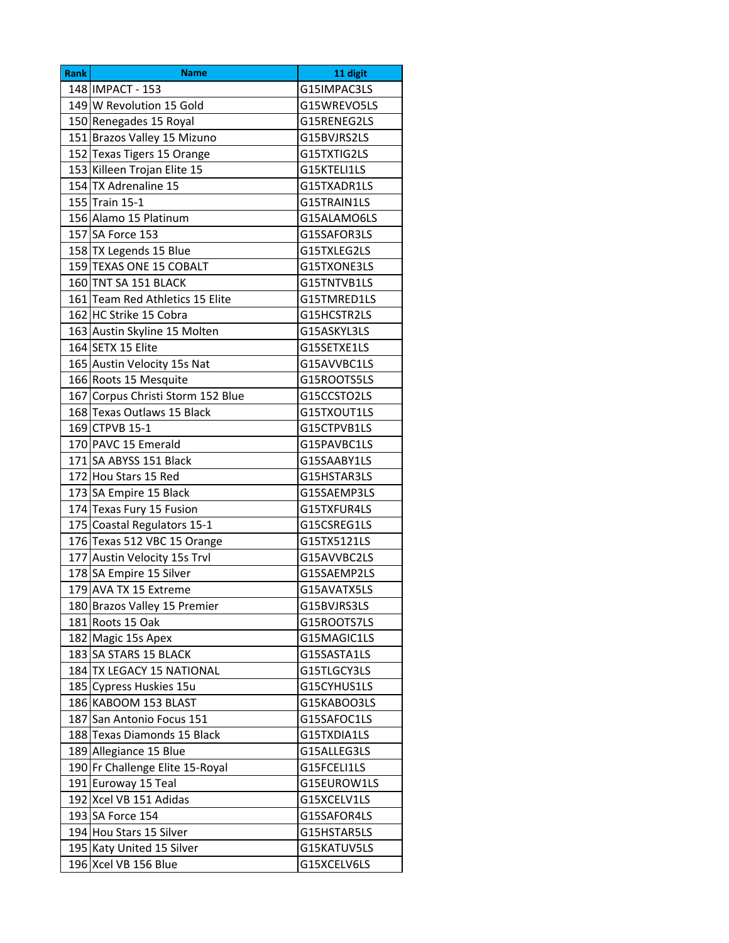| <b>Rank</b> | <b>Name</b>                       | 11 digit    |
|-------------|-----------------------------------|-------------|
|             | 148 IMPACT - 153                  | G15IMPAC3LS |
|             | 149 W Revolution 15 Gold          | G15WREVO5LS |
|             | 150 Renegades 15 Royal            | G15RENEG2LS |
|             | 151 Brazos Valley 15 Mizuno       | G15BVJRS2LS |
|             | 152 Texas Tigers 15 Orange        | G15TXTIG2LS |
|             | 153 Killeen Trojan Elite 15       | G15KTELI1LS |
|             | 154 TX Adrenaline 15              | G15TXADR1LS |
|             | 155 Train 15-1                    | G15TRAIN1LS |
|             | 156 Alamo 15 Platinum             | G15ALAMO6LS |
|             | 157 SA Force 153                  | G15SAFOR3LS |
|             | 158 TX Legends 15 Blue            | G15TXLEG2LS |
|             | 159 TEXAS ONE 15 COBALT           | G15TXONE3LS |
|             | 160 TNT SA 151 BLACK              | G15TNTVB1LS |
|             | 161 Team Red Athletics 15 Elite   | G15TMRED1LS |
|             | 162 HC Strike 15 Cobra            | G15HCSTR2LS |
|             | 163 Austin Skyline 15 Molten      | G15ASKYL3LS |
|             | 164 SETX 15 Elite                 | G15SETXE1LS |
|             | 165 Austin Velocity 15s Nat       | G15AVVBC1LS |
|             | 166 Roots 15 Mesquite             | G15ROOTS5LS |
|             | 167 Corpus Christi Storm 152 Blue | G15CCSTO2LS |
|             | 168 Texas Outlaws 15 Black        | G15TXOUT1LS |
|             | 169 CTPVB 15-1                    | G15CTPVB1LS |
|             | 170 PAVC 15 Emerald               | G15PAVBC1LS |
|             | 171 SA ABYSS 151 Black            | G15SAABY1LS |
|             | 172 Hou Stars 15 Red              | G15HSTAR3LS |
|             | 173 SA Empire 15 Black            | G15SAEMP3LS |
|             | 174 Texas Fury 15 Fusion          | G15TXFUR4LS |
|             | 175 Coastal Regulators 15-1       | G15CSREG1LS |
|             | 176 Texas 512 VBC 15 Orange       | G15TX5121LS |
|             | 177 Austin Velocity 15s Trvl      | G15AVVBC2LS |
|             | 178 SA Empire 15 Silver           | G15SAEMP2LS |
|             | 179 AVA TX 15 Extreme             | G15AVATX5LS |
|             | 180 Brazos Valley 15 Premier      | G15BVJRS3LS |
|             | 181 Roots 15 Oak                  | G15ROOTS7LS |
|             | 182 Magic 15s Apex                | G15MAGIC1LS |
|             | 183 SA STARS 15 BLACK             | G15SASTA1LS |
|             | 184 TX LEGACY 15 NATIONAL         | G15TLGCY3LS |
|             | 185 Cypress Huskies 15u           | G15CYHUS1LS |
|             | 186 KABOOM 153 BLAST              | G15KABOO3LS |
|             | 187 San Antonio Focus 151         | G15SAFOC1LS |
|             | 188 Texas Diamonds 15 Black       | G15TXDIA1LS |
|             | 189 Allegiance 15 Blue            | G15ALLEG3LS |
|             | 190 Fr Challenge Elite 15-Royal   | G15FCELI1LS |
|             | 191 Euroway 15 Teal               | G15EUROW1LS |
|             | 192 Xcel VB 151 Adidas            | G15XCELV1LS |
|             | 193 SA Force 154                  | G15SAFOR4LS |
|             | 194 Hou Stars 15 Silver           | G15HSTAR5LS |
|             | 195 Katy United 15 Silver         | G15KATUV5LS |
|             | 196 Xcel VB 156 Blue              | G15XCELV6LS |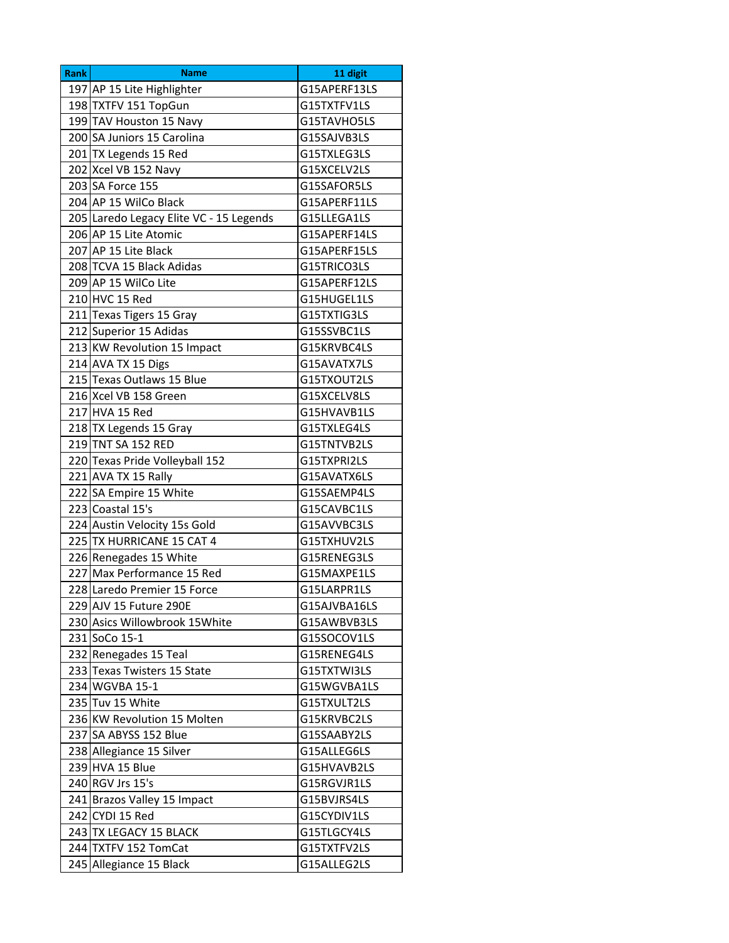| <b>Rank</b> | <b>Name</b>                             | 11 digit     |
|-------------|-----------------------------------------|--------------|
|             | 197 AP 15 Lite Highlighter              | G15APERF13LS |
|             | 198 TXTFV 151 TopGun                    | G15TXTFV1LS  |
|             | 199 TAV Houston 15 Navy                 | G15TAVHO5LS  |
|             | 200 SA Juniors 15 Carolina              | G15SAJVB3LS  |
|             | 201 TX Legends 15 Red                   | G15TXLEG3LS  |
|             | 202 Xcel VB 152 Navy                    | G15XCELV2LS  |
|             | 203 SA Force 155                        | G15SAFOR5LS  |
|             | 204 AP 15 WilCo Black                   | G15APERF11LS |
|             | 205 Laredo Legacy Elite VC - 15 Legends | G15LLEGA1LS  |
|             | 206 AP 15 Lite Atomic                   | G15APERF14LS |
|             | 207 AP 15 Lite Black                    | G15APERF15LS |
|             | 208 TCVA 15 Black Adidas                | G15TRICO3LS  |
|             | 209 AP 15 WilCo Lite                    | G15APERF12LS |
|             | 210 HVC 15 Red                          | G15HUGEL1LS  |
|             | 211 Texas Tigers 15 Gray                | G15TXTIG3LS  |
|             | 212 Superior 15 Adidas                  | G15SSVBC1LS  |
|             | 213 KW Revolution 15 Impact             | G15KRVBC4LS  |
|             | 214 AVA TX 15 Digs                      | G15AVATX7LS  |
|             | 215 Texas Outlaws 15 Blue               | G15TXOUT2LS  |
|             | 216 Xcel VB 158 Green                   | G15XCELV8LS  |
|             | 217 HVA 15 Red                          | G15HVAVB1LS  |
|             | 218 TX Legends 15 Gray                  | G15TXLEG4LS  |
|             | 219 TNT SA 152 RED                      | G15TNTVB2LS  |
|             | 220 Texas Pride Volleyball 152          | G15TXPRI2LS  |
|             | 221 AVA TX 15 Rally                     | G15AVATX6LS  |
|             | 222 SA Empire 15 White                  | G15SAEMP4LS  |
|             | 223 Coastal 15's                        | G15CAVBC1LS  |
|             | 224 Austin Velocity 15s Gold            | G15AVVBC3LS  |
|             | 225 TX HURRICANE 15 CAT 4               | G15TXHUV2LS  |
|             | 226 Renegades 15 White                  | G15RENEG3LS  |
|             | 227 Max Performance 15 Red              | G15MAXPE1LS  |
|             | 228 Laredo Premier 15 Force             | G15LARPR1LS  |
|             | 229 AJV 15 Future 290E                  | G15AJVBA16LS |
|             | 230 Asics Willowbrook 15 White          | G15AWBVB3LS  |
|             | 231 SoCo 15-1                           | G15SOCOV1LS  |
|             | 232 Renegades 15 Teal                   | G15RENEG4LS  |
|             | 233 Texas Twisters 15 State             | G15TXTWI3LS  |
|             | 234 WGVBA 15-1                          | G15WGVBA1LS  |
|             | 235 Tuv 15 White                        | G15TXULT2LS  |
|             | 236 KW Revolution 15 Molten             | G15KRVBC2LS  |
|             | 237 SA ABYSS 152 Blue                   | G15SAABY2LS  |
|             | 238 Allegiance 15 Silver                | G15ALLEG6LS  |
|             | 239 HVA 15 Blue                         | G15HVAVB2LS  |
|             | 240 RGV Jrs 15's                        | G15RGVJR1LS  |
|             | 241 Brazos Valley 15 Impact             | G15BVJRS4LS  |
|             | 242 CYDI 15 Red                         | G15CYDIV1LS  |
|             | 243 TX LEGACY 15 BLACK                  | G15TLGCY4LS  |
|             | 244 TXTFV 152 TomCat                    | G15TXTFV2LS  |
|             | 245 Allegiance 15 Black                 | G15ALLEG2LS  |